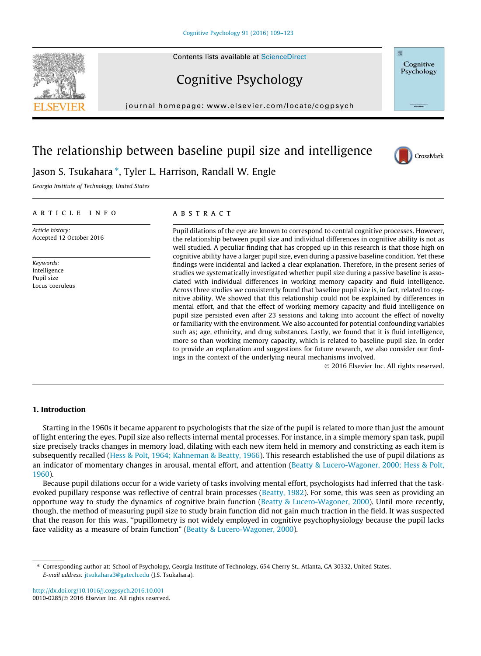Contents lists available at ScienceDirect

# Cognitive Psychology

journal homepage: www.elsevier.com/locate/cogpsych

## The relationship between baseline pupil size and intelligence

Jason S. Tsukahara <sup>\*</sup>, Tyler L. Harrison, Randall W. Engle

*Georgia Institute of Technology, United States*

## article info

*Article history:* Accepted 12 October 2016

*Keywords:* Intelligence Pupil size Locus coeruleus

## **ABSTRACT**

Pupil dilations of the eye are known to correspond to central cognitive processes. However, the relationship between pupil size and individual differences in cognitive ability is not as well studied. A peculiar finding that has cropped up in this research is that those high on cognitive ability have a larger pupil size, even during a passive baseline condition. Yet these findings were incidental and lacked a clear explanation. Therefore, in the present series of studies we systematically investigated whether pupil size during a passive baseline is associated with individual differences in working memory capacity and fluid intelligence. Across three studies we consistently found that baseline pupil size is, in fact, related to cognitive ability. We showed that this relationship could not be explained by differences in mental effort, and that the effect of working memory capacity and fluid intelligence on pupil size persisted even after 23 sessions and taking into account the effect of novelty or familiarity with the environment. We also accounted for potential confounding variables such as; age, ethnicity, and drug substances. Lastly, we found that it is fluid intelligence, more so than working memory capacity, which is related to baseline pupil size. In order to provide an explanation and suggestions for future research, we also consider our findings in the context of the underlying neural mechanisms involved.

2016 Elsevier Inc. All rights reserved.

## 1. Introduction

Starting in the 1960s it became apparent to psychologists that the size of the pupil is related to more than just the amount of light entering the eyes. Pupil size also reflects internal mental processes. For instance, in a simple memory span task, pupil size precisely tracks changes in memory load, dilating with each new item held in memory and constricting as each item is subsequently recalled (Hess & Polt, 1964; Kahneman & Beatty, 1966). This research established the use of pupil dilations as an indicator of momentary changes in arousal, mental effort, and attention (Beatty & Lucero-Wagoner, 2000; Hess & Polt, 1960).

Because pupil dilations occur for a wide variety of tasks involving mental effort, psychologists had inferred that the taskevoked pupillary response was reflective of central brain processes (Beatty, 1982). For some, this was seen as providing an opportune way to study the dynamics of cognitive brain function (Beatty & Lucero-Wagoner, 2000). Until more recently, though, the method of measuring pupil size to study brain function did not gain much traction in the field. It was suspected that the reason for this was, ''pupillometry is not widely employed in cognitive psychophysiology because the pupil lacks face validity as a measure of brain function" (Beatty & Lucero-Wagoner, 2000).







<sup>⇑</sup> Corresponding author at: School of Psychology, Georgia Institute of Technology, 654 Cherry St., Atlanta, GA 30332, United States. *E-mail address:* jtsukahara3@gatech.edu (J.S. Tsukahara).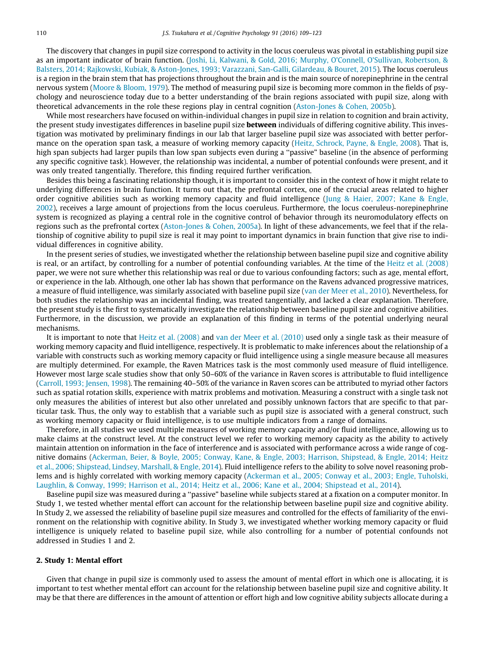The discovery that changes in pupil size correspond to activity in the locus coeruleus was pivotal in establishing pupil size as an important indicator of brain function. (Joshi, Li, Kalwani, & Gold, 2016; Murphy, O'Connell, O'Sullivan, Robertson, & Balsters, 2014; Rajkowski, Kubiak, & Aston-Jones, 1993; Varazzani, San-Galli, Gilardeau, & Bouret, 2015). The locus coeruleus is a region in the brain stem that has projections throughout the brain and is the main source of norepinephrine in the central nervous system (Moore & Bloom, 1979). The method of measuring pupil size is becoming more common in the fields of psychology and neuroscience today due to a better understanding of the brain regions associated with pupil size, along with theoretical advancements in the role these regions play in central cognition (Aston-Jones & Cohen, 2005b).

While most researchers have focused on within-individual changes in pupil size in relation to cognition and brain activity, the present study investigates differences in baseline pupil size **between** individuals of differing cognitive ability. This investigation was motivated by preliminary findings in our lab that larger baseline pupil size was associated with better performance on the operation span task, a measure of working memory capacity (Heitz, Schrock, Payne, & Engle, 2008). That is, high span subjects had larger pupils than low span subjects even during a ''passive" baseline (in the absence of performing any specific cognitive task). However, the relationship was incidental, a number of potential confounds were present, and it was only treated tangentially. Therefore, this finding required further verification.

Besides this being a fascinating relationship though, it is important to consider this in the context of how it might relate to underlying differences in brain function. It turns out that, the prefrontal cortex, one of the crucial areas related to higher order cognitive abilities such as working memory capacity and fluid intelligence (Jung & Haier, 2007; Kane & Engle, 2002), receives a large amount of projections from the locus coeruleus. Furthermore, the locus coeruleus-norepinephrine system is recognized as playing a central role in the cognitive control of behavior through its neuromodulatory effects on regions such as the prefrontal cortex (Aston-Jones & Cohen, 2005a). In light of these advancements, we feel that if the relationship of cognitive ability to pupil size is real it may point to important dynamics in brain function that give rise to individual differences in cognitive ability.

In the present series of studies, we investigated whether the relationship between baseline pupil size and cognitive ability is real, or an artifact, by controlling for a number of potential confounding variables. At the time of the Heitz et al. (2008) paper, we were not sure whether this relationship was real or due to various confounding factors; such as age, mental effort, or experience in the lab. Although, one other lab has shown that performance on the Ravens advanced progressive matrices, a measure of fluid intelligence, was similarly associated with baseline pupil size (van der Meer et al., 2010). Nevertheless, for both studies the relationship was an incidental finding, was treated tangentially, and lacked a clear explanation. Therefore, the present study is the first to systematically investigate the relationship between baseline pupil size and cognitive abilities. Furthermore, in the discussion, we provide an explanation of this finding in terms of the potential underlying neural mechanisms.

It is important to note that Heitz et al. (2008) and van der Meer et al. (2010) used only a single task as their measure of working memory capacity and fluid intelligence, respectively. It is problematic to make inferences about the relationship of a variable with constructs such as working memory capacity or fluid intelligence using a single measure because all measures are multiply determined. For example, the Raven Matrices task is the most commonly used measure of fluid intelligence. However most large scale studies show that only 50–60% of the variance in Raven scores is attributable to fluid intelligence (Carroll, 1993; Jensen, 1998). The remaining 40–50% of the variance in Raven scores can be attributed to myriad other factors such as spatial rotation skills, experience with matrix problems and motivation. Measuring a construct with a single task not only measures the abilities of interest but also other unrelated and possibly unknown factors that are specific to that particular task. Thus, the only way to establish that a variable such as pupil size is associated with a general construct, such as working memory capacity or fluid intelligence, is to use multiple indicators from a range of domains.

Therefore, in all studies we used multiple measures of working memory capacity and/or fluid intelligence, allowing us to make claims at the construct level. At the construct level we refer to working memory capacity as the ability to actively maintain attention on information in the face of interference and is associated with performance across a wide range of cognitive domains (Ackerman, Beier, & Boyle, 2005; Conway, Kane, & Engle, 2003; Harrison, Shipstead, & Engle, 2014; Heitz et al., 2006; Shipstead, Lindsey, Marshall, & Engle, 2014). Fluid intelligence refers to the ability to solve novel reasoning problems and is highly correlated with working memory capacity (Ackerman et al., 2005; Conway et al., 2003; Engle, Tuholski, Laughlin, & Conway, 1999; Harrison et al., 2014; Heitz et al., 2006; Kane et al., 2004; Shipstead et al., 2014).

Baseline pupil size was measured during a ''passive" baseline while subjects stared at a fixation on a computer monitor. In Study 1, we tested whether mental effort can account for the relationship between baseline pupil size and cognitive ability. In Study 2, we assessed the reliability of baseline pupil size measures and controlled for the effects of familiarity of the environment on the relationship with cognitive ability. In Study 3, we investigated whether working memory capacity or fluid intelligence is uniquely related to baseline pupil size, while also controlling for a number of potential confounds not addressed in Studies 1 and 2.

#### 2. Study 1: Mental effort

Given that change in pupil size is commonly used to assess the amount of mental effort in which one is allocating, it is important to test whether mental effort can account for the relationship between baseline pupil size and cognitive ability. It may be that there are differences in the amount of attention or effort high and low cognitive ability subjects allocate during a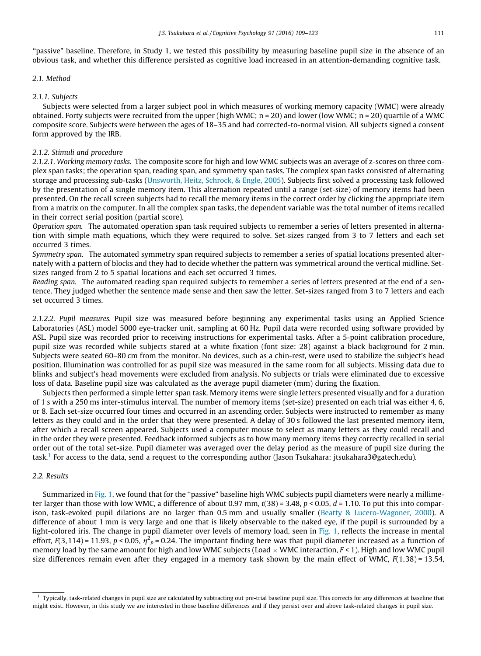''passive" baseline. Therefore, in Study 1, we tested this possibility by measuring baseline pupil size in the absence of an obvious task, and whether this difference persisted as cognitive load increased in an attention-demanding cognitive task.

## *2.1. Method*

## *2.1.1. Subjects*

Subjects were selected from a larger subject pool in which measures of working memory capacity (WMC) were already obtained. Forty subjects were recruited from the upper (high WMC;  $n = 20$ ) and lower (low WMC;  $n = 20$ ) quartile of a WMC composite score. Subjects were between the ages of 18–35 and had corrected-to-normal vision. All subjects signed a consent form approved by the IRB.

#### *2.1.2. Stimuli and procedure*

*2.1.2.1. Working memory tasks.* The composite score for high and low WMC subjects was an average of z-scores on three complex span tasks; the operation span, reading span, and symmetry span tasks. The complex span tasks consisted of alternating storage and processing sub-tasks (Unsworth, Heitz, Schrock, & Engle, 2005). Subjects first solved a processing task followed by the presentation of a single memory item. This alternation repeated until a range (set-size) of memory items had been presented. On the recall screen subjects had to recall the memory items in the correct order by clicking the appropriate item from a matrix on the computer. In all the complex span tasks, the dependent variable was the total number of items recalled in their correct serial position (partial score).

*Operation span.* The automated operation span task required subjects to remember a series of letters presented in alternation with simple math equations, which they were required to solve. Set-sizes ranged from 3 to 7 letters and each set occurred 3 times.

*Symmetry span.* The automated symmetry span required subjects to remember a series of spatial locations presented alternately with a pattern of blocks and they had to decide whether the pattern was symmetrical around the vertical midline. Setsizes ranged from 2 to 5 spatial locations and each set occurred 3 times.

*Reading span.* The automated reading span required subjects to remember a series of letters presented at the end of a sentence. They judged whether the sentence made sense and then saw the letter. Set-sizes ranged from 3 to 7 letters and each set occurred 3 times.

*2.1.2.2. Pupil measures.* Pupil size was measured before beginning any experimental tasks using an Applied Science Laboratories (ASL) model 5000 eye-tracker unit, sampling at 60 Hz. Pupil data were recorded using software provided by ASL. Pupil size was recorded prior to receiving instructions for experimental tasks. After a 5-point calibration procedure, pupil size was recorded while subjects stared at a white fixation (font size: 28) against a black background for 2 min. Subjects were seated 60–80 cm from the monitor. No devices, such as a chin-rest, were used to stabilize the subject's head position. Illumination was controlled for as pupil size was measured in the same room for all subjects. Missing data due to blinks and subject's head movements were excluded from analysis. No subjects or trials were eliminated due to excessive loss of data. Baseline pupil size was calculated as the average pupil diameter (mm) during the fixation.

Subjects then performed a simple letter span task. Memory items were single letters presented visually and for a duration of 1 s with a 250 ms inter-stimulus interval. The number of memory items (set-size) presented on each trial was either 4, 6, or 8. Each set-size occurred four times and occurred in an ascending order. Subjects were instructed to remember as many letters as they could and in the order that they were presented. A delay of 30 s followed the last presented memory item, after which a recall screen appeared. Subjects used a computer mouse to select as many letters as they could recall and in the order they were presented. Feedback informed subjects as to how many memory items they correctly recalled in serial order out of the total set-size. Pupil diameter was averaged over the delay period as the measure of pupil size during the task.<sup>1</sup> For access to the data, send a request to the corresponding author (Jason Tsukahara: jtsukahara3@gatech.edu).

## *2.2. Results*

Summarized in Fig. 1, we found that for the ''passive" baseline high WMC subjects pupil diameters were nearly a millimeter larger than those with low WMC, a difference of about 0.97 mm,  $t(38) = 3.48$ ,  $p < 0.05$ ,  $d = 1.10$ . To put this into comparison, task-evoked pupil dilations are no larger than 0.5 mm and usually smaller (Beatty & Lucero-Wagoner, 2000). A difference of about 1 mm is very large and one that is likely observable to the naked eye, if the pupil is surrounded by a light-colored iris. The change in pupil diameter over levels of memory load, seen in Fig. 1, reflects the increase in mental effort, F(3,114) = 11.93, p < 0.05,  $\eta^2{}_{p}$  = 0.24. The important finding here was that pupil diameter increased as a function of memory load by the same amount for high and low WMC subjects (Load  $\times$  WMC interaction, *F* < 1). High and low WMC pupil size differences remain even after they engaged in a memory task shown by the main effect of WMC,  $F(1,38) = 13.54$ ,

<sup>1</sup> Typically, task-related changes in pupil size are calculated by subtracting out pre-trial baseline pupil size. This corrects for any differences at baseline that might exist. However, in this study we are interested in those baseline differences and if they persist over and above task-related changes in pupil size.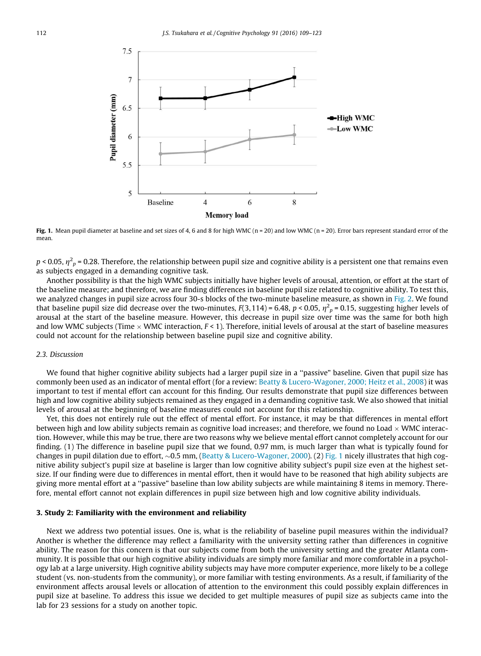

Fig. 1. Mean pupil diameter at baseline and set sizes of 4, 6 and 8 for high WMC (n = 20) and low WMC (n = 20). Error bars represent standard error of the mean.

 $p$  < 0.05,  $\eta^2{}_{p}$  = 0.28. Therefore, the relationship between pupil size and cognitive ability is a persistent one that remains even as subjects engaged in a demanding cognitive task.

Another possibility is that the high WMC subjects initially have higher levels of arousal, attention, or effort at the start of the baseline measure; and therefore, we are finding differences in baseline pupil size related to cognitive ability. To test this, we analyzed changes in pupil size across four 30-s blocks of the two-minute baseline measure, as shown in Fig. 2. We found that baseline pupil size did decrease over the two-minutes,  $F(3,114)$  = 6.48,  $p < 0.05$ ,  $\eta^2$ <sub>p</sub> = 0.15, suggesting higher levels of arousal at the start of the baseline measure. However, this decrease in pupil size over time was the same for both high and low WMC subjects (Time  $\times$  WMC interaction, *F* < 1). Therefore, initial levels of arousal at the start of baseline measures could not account for the relationship between baseline pupil size and cognitive ability.

## *2.3. Discussion*

We found that higher cognitive ability subjects had a larger pupil size in a ''passive" baseline. Given that pupil size has commonly been used as an indicator of mental effort (for a review: Beatty & Lucero-Wagoner, 2000; Heitz et al., 2008) it was important to test if mental effort can account for this finding. Our results demonstrate that pupil size differences between high and low cognitive ability subjects remained as they engaged in a demanding cognitive task. We also showed that initial levels of arousal at the beginning of baseline measures could not account for this relationship.

Yet, this does not entirely rule out the effect of mental effort. For instance, it may be that differences in mental effort between high and low ability subjects remain as cognitive load increases; and therefore, we found no Load  $\times$  WMC interaction. However, while this may be true, there are two reasons why we believe mental effort cannot completely account for our finding. (1) The difference in baseline pupil size that we found, 0.97 mm, is much larger than what is typically found for changes in pupil dilation due to effort,  $\sim$ 0.5 mm, (Beatty & Lucero-Wagoner, 2000). (2) Fig. 1 nicely illustrates that high cognitive ability subject's pupil size at baseline is larger than low cognitive ability subject's pupil size even at the highest setsize. If our finding were due to differences in mental effort, then it would have to be reasoned that high ability subjects are giving more mental effort at a ''passive" baseline than low ability subjects are while maintaining 8 items in memory. Therefore, mental effort cannot not explain differences in pupil size between high and low cognitive ability individuals.

#### 3. Study 2: Familiarity with the environment and reliability

Next we address two potential issues. One is, what is the reliability of baseline pupil measures within the individual? Another is whether the difference may reflect a familiarity with the university setting rather than differences in cognitive ability. The reason for this concern is that our subjects come from both the university setting and the greater Atlanta community. It is possible that our high cognitive ability individuals are simply more familiar and more comfortable in a psychology lab at a large university. High cognitive ability subjects may have more computer experience, more likely to be a college student (vs. non-students from the community), or more familiar with testing environments. As a result, if familiarity of the environment affects arousal levels or allocation of attention to the environment this could possibly explain differences in pupil size at baseline. To address this issue we decided to get multiple measures of pupil size as subjects came into the lab for 23 sessions for a study on another topic.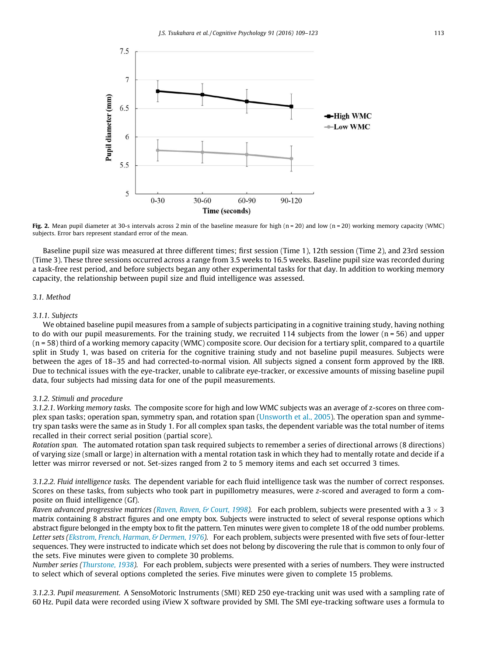



Baseline pupil size was measured at three different times; first session (Time 1), 12th session (Time 2), and 23rd session (Time 3). These three sessions occurred across a range from 3.5 weeks to 16.5 weeks. Baseline pupil size was recorded during a task-free rest period, and before subjects began any other experimental tasks for that day. In addition to working memory capacity, the relationship between pupil size and fluid intelligence was assessed.

## *3.1. Method*

#### *3.1.1. Subjects*

We obtained baseline pupil measures from a sample of subjects participating in a cognitive training study, having nothing to do with our pupil measurements. For the training study, we recruited 114 subjects from the lower ( $n = 56$ ) and upper (n = 58) third of a working memory capacity (WMC) composite score. Our decision for a tertiary split, compared to a quartile split in Study 1, was based on criteria for the cognitive training study and not baseline pupil measures. Subjects were between the ages of 18–35 and had corrected-to-normal vision. All subjects signed a consent form approved by the IRB. Due to technical issues with the eye-tracker, unable to calibrate eye-tracker, or excessive amounts of missing baseline pupil data, four subjects had missing data for one of the pupil measurements.

#### *3.1.2. Stimuli and procedure*

*3.1.2.1. Working memory tasks.* The composite score for high and low WMC subjects was an average of z-scores on three complex span tasks; operation span, symmetry span, and rotation span (Unsworth et al., 2005). The operation span and symmetry span tasks were the same as in Study 1. For all complex span tasks, the dependent variable was the total number of items recalled in their correct serial position (partial score).

*Rotation span.* The automated rotation span task required subjects to remember a series of directional arrows (8 directions) of varying size (small or large) in alternation with a mental rotation task in which they had to mentally rotate and decide if a letter was mirror reversed or not. Set-sizes ranged from 2 to 5 memory items and each set occurred 3 times.

*3.1.2.2. Fluid intelligence tasks.* The dependent variable for each fluid intelligence task was the number of correct responses. Scores on these tasks, from subjects who took part in pupillometry measures, were *z-*scored and averaged to form a composite on fluid intelligence (Gf).

*Raven advanced progressive matrices (Raven, Raven, & Court, 1998).* For each problem, subjects were presented with a  $3 \times 3$ matrix containing 8 abstract figures and one empty box. Subjects were instructed to select of several response options which abstract figure belonged in the empty box to fit the pattern. Ten minutes were given to complete 18 of the odd number problems. *Letter sets (Ekstrom, French, Harman, & Dermen, 1976).* For each problem, subjects were presented with five sets of four-letter sequences. They were instructed to indicate which set does not belong by discovering the rule that is common to only four of the sets. Five minutes were given to complete 30 problems.

*Number series (Thurstone, 1938).* For each problem, subjects were presented with a series of numbers. They were instructed to select which of several options completed the series. Five minutes were given to complete 15 problems.

*3.1.2.3. Pupil measurement.* A SensoMotoric Instruments (SMI) RED 250 eye-tracking unit was used with a sampling rate of 60 Hz. Pupil data were recorded using iView X software provided by SMI. The SMI eye-tracking software uses a formula to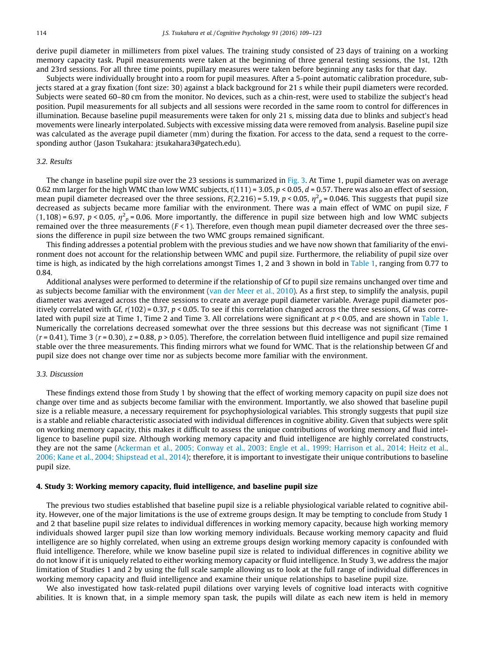derive pupil diameter in millimeters from pixel values. The training study consisted of 23 days of training on a working memory capacity task. Pupil measurements were taken at the beginning of three general testing sessions, the 1st, 12th and 23rd sessions. For all three time points, pupillary measures were taken before beginning any tasks for that day.

Subjects were individually brought into a room for pupil measures. After a 5-point automatic calibration procedure, subjects stared at a gray fixation (font size: 30) against a black background for 21 s while their pupil diameters were recorded. Subjects were seated 60–80 cm from the monitor. No devices, such as a chin-rest, were used to stabilize the subject's head position. Pupil measurements for all subjects and all sessions were recorded in the same room to control for differences in illumination. Because baseline pupil measurements were taken for only 21 s, missing data due to blinks and subject's head movements were linearly interpolated. Subjects with excessive missing data were removed from analysis. Baseline pupil size was calculated as the average pupil diameter (mm) during the fixation. For access to the data, send a request to the corresponding author (Jason Tsukahara: jtsukahara3@gatech.edu).

#### *3.2. Results*

The change in baseline pupil size over the 23 sessions is summarized in Fig. 3. At Time 1, pupil diameter was on average 0.62 mm larger for the high WMC than low WMC subjects, *t*(111) = 3.05, *p* < 0.05, *d* = 0.57. There was also an effect of session, mean pupil diameter decreased over the three sessions,  $F(2,216)$  = 5.19,  $p$  < 0.05,  $\eta^2{}_p$  = 0.046. This suggests that pupil size decreased as subjects became more familiar with the environment. There was a main effect of WMC on pupil size, *F* (1,108)=6.97, p < 0.05,  $\eta^2{}_p$ =0.06. More importantly, the difference in pupil size between high and low WMC subjects remained over the three measurements  $(F < 1)$ . Therefore, even though mean pupil diameter decreased over the three sessions the difference in pupil size between the two WMC groups remained significant.

This finding addresses a potential problem with the previous studies and we have now shown that familiarity of the environment does not account for the relationship between WMC and pupil size. Furthermore, the reliability of pupil size over time is high, as indicated by the high correlations amongst Times 1, 2 and 3 shown in bold in Table 1, ranging from 0.77 to 0.84.

Additional analyses were performed to determine if the relationship of Gf to pupil size remains unchanged over time and as subjects become familiar with the environment (van der Meer et al., 2010). As a first step, to simplify the analysis, pupil diameter was averaged across the three sessions to create an average pupil diameter variable. Average pupil diameter positively correlated with Gf,  $r(102) = 0.37$ ,  $p < 0.05$ . To see if this correlation changed across the three sessions, Gf was correlated with pupil size at Time 1, Time 2 and Time 3. All correlations were significant at *p* < 0.05, and are shown in Table 1. Numerically the correlations decreased somewhat over the three sessions but this decrease was not significant (Time 1  $(r = 0.41)$ , Time 3  $(r = 0.30)$ ,  $z = 0.88$ ,  $p > 0.05$ ). Therefore, the correlation between fluid intelligence and pupil size remained stable over the three measurements. This finding mirrors what we found for WMC. That is the relationship between Gf and pupil size does not change over time nor as subjects become more familiar with the environment.

## *3.3. Discussion*

These findings extend those from Study 1 by showing that the effect of working memory capacity on pupil size does not change over time and as subjects become familiar with the environment. Importantly, we also showed that baseline pupil size is a reliable measure, a necessary requirement for psychophysiological variables. This strongly suggests that pupil size is a stable and reliable characteristic associated with individual differences in cognitive ability. Given that subjects were split on working memory capacity, this makes it difficult to assess the unique contributions of working memory and fluid intelligence to baseline pupil size. Although working memory capacity and fluid intelligence are highly correlated constructs, they are not the same (Ackerman et al., 2005; Conway et al., 2003; Engle et al., 1999; Harrison et al., 2014; Heitz et al., 2006; Kane et al., 2004; Shipstead et al., 2014); therefore, it is important to investigate their unique contributions to baseline pupil size.

#### 4. Study 3: Working memory capacity, fluid intelligence, and baseline pupil size

The previous two studies established that baseline pupil size is a reliable physiological variable related to cognitive ability. However, one of the major limitations is the use of extreme groups design. It may be tempting to conclude from Study 1 and 2 that baseline pupil size relates to individual differences in working memory capacity, because high working memory individuals showed larger pupil size than low working memory individuals. Because working memory capacity and fluid intelligence are so highly correlated, when using an extreme groups design working memory capacity is confounded with fluid intelligence. Therefore, while we know baseline pupil size is related to individual differences in cognitive ability we do not know if it is uniquely related to either working memory capacity or fluid intelligence. In Study 3, we address the major limitation of Studies 1 and 2 by using the full scale sample allowing us to look at the full range of individual differences in working memory capacity and fluid intelligence and examine their unique relationships to baseline pupil size.

We also investigated how task-related pupil dilations over varying levels of cognitive load interacts with cognitive abilities. It is known that, in a simple memory span task, the pupils will dilate as each new item is held in memory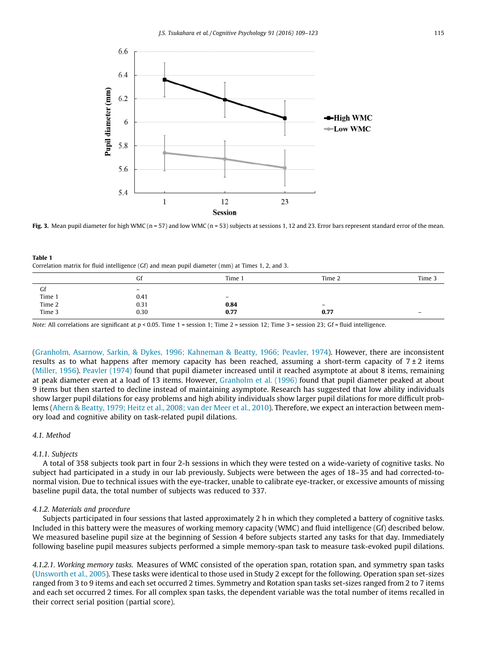

Fig. 3. Mean pupil diameter for high WMC (n = 57) and low WMC (n = 53) subjects at sessions 1, 12 and 23. Error bars represent standard error of the mean.

Table 1 Correlation matrix for fluid intelligence (Gf) and mean pupil diameter (mm) at Times 1, 2, and 3.

|                  | Gf                       | Time 1                   | Time 2                   | Time 3                   |
|------------------|--------------------------|--------------------------|--------------------------|--------------------------|
|                  | $\overline{\phantom{0}}$ |                          |                          |                          |
| Gf<br>Time 1     | 0.41                     | $\overline{\phantom{0}}$ |                          |                          |
| Time 2<br>Time 3 | 0.31                     | 0.84                     | $\overline{\phantom{0}}$ |                          |
|                  | 0.30                     | 0.77                     | 0.77                     | $\overline{\phantom{0}}$ |

*Note:* All correlations are significant at  $p < 0.05$ . Time 1 = session 1; Time 2 = session 12; Time 3 = session 23; Gf = fluid intelligence.

(Granholm, Asarnow, Sarkin, & Dykes, 1996; Kahneman & Beatty, 1966; Peavler, 1974). However, there are inconsistent results as to what happens after memory capacity has been reached, assuming a short-term capacity of  $7\pm2$  items (Miller, 1956). Peavler (1974) found that pupil diameter increased until it reached asymptote at about 8 items, remaining at peak diameter even at a load of 13 items. However, Granholm et al. (1996) found that pupil diameter peaked at about 9 items but then started to decline instead of maintaining asymptote. Research has suggested that low ability individuals show larger pupil dilations for easy problems and high ability individuals show larger pupil dilations for more difficult problems (Ahern & Beatty, 1979; Heitz et al., 2008; van der Meer et al., 2010). Therefore, we expect an interaction between memory load and cognitive ability on task-related pupil dilations.

## *4.1. Method*

#### *4.1.1. Subjects*

A total of 358 subjects took part in four 2-h sessions in which they were tested on a wide-variety of cognitive tasks. No subject had participated in a study in our lab previously. Subjects were between the ages of 18–35 and had corrected-tonormal vision. Due to technical issues with the eye-tracker, unable to calibrate eye-tracker, or excessive amounts of missing baseline pupil data, the total number of subjects was reduced to 337.

## *4.1.2. Materials and procedure*

Subjects participated in four sessions that lasted approximately 2 h in which they completed a battery of cognitive tasks. Included in this battery were the measures of working memory capacity (WMC) and fluid intelligence (Gf) described below. We measured baseline pupil size at the beginning of Session 4 before subjects started any tasks for that day. Immediately following baseline pupil measures subjects performed a simple memory-span task to measure task-evoked pupil dilations.

*4.1.2.1. Working memory tasks.* Measures of WMC consisted of the operation span, rotation span, and symmetry span tasks (Unsworth et al., 2005). These tasks were identical to those used in Study 2 except for the following. Operation span set-sizes ranged from 3 to 9 items and each set occurred 2 times. Symmetry and Rotation span tasks set-sizes ranged from 2 to 7 items and each set occurred 2 times. For all complex span tasks, the dependent variable was the total number of items recalled in their correct serial position (partial score).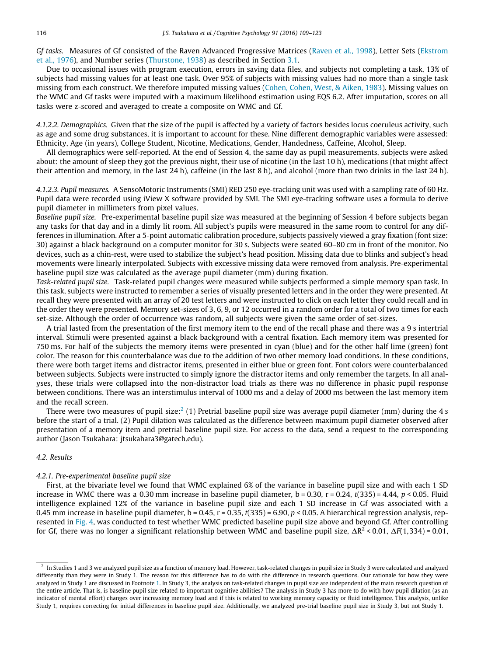*Gf tasks.* Measures of Gf consisted of the Raven Advanced Progressive Matrices (Raven et al., 1998), Letter Sets (Ekstrom et al., 1976), and Number series (Thurstone, 1938) as described in Section 3.1.

Due to occasional issues with program execution, errors in saving data files, and subjects not completing a task, 13% of subjects had missing values for at least one task. Over 95% of subjects with missing values had no more than a single task missing from each construct. We therefore imputed missing values (Cohen, Cohen, West, & Aiken, 1983). Missing values on the WMC and Gf tasks were imputed with a maximum likelihood estimation using EQS 6.2. After imputation, scores on all tasks were z-scored and averaged to create a composite on WMC and Gf.

*4.1.2.2. Demographics.* Given that the size of the pupil is affected by a variety of factors besides locus coeruleus activity, such as age and some drug substances, it is important to account for these. Nine different demographic variables were assessed: Ethnicity, Age (in years), College Student, Nicotine, Medications, Gender, Handedness, Caffeine, Alcohol, Sleep.

All demographics were self-reported. At the end of Session 4, the same day as pupil measurements, subjects were asked about: the amount of sleep they got the previous night, their use of nicotine (in the last 10 h), medications (that might affect their attention and memory, in the last 24 h), caffeine (in the last 8 h), and alcohol (more than two drinks in the last 24 h).

*4.1.2.3. Pupil measures.* A SensoMotoric Instruments (SMI) RED 250 eye-tracking unit was used with a sampling rate of 60 Hz. Pupil data were recorded using iView X software provided by SMI. The SMI eye-tracking software uses a formula to derive pupil diameter in millimeters from pixel values.

*Baseline pupil size.* Pre-experimental baseline pupil size was measured at the beginning of Session 4 before subjects began any tasks for that day and in a dimly lit room. All subject's pupils were measured in the same room to control for any differences in illumination. After a 5-point automatic calibration procedure, subjects passively viewed a gray fixation (font size: 30) against a black background on a computer monitor for 30 s. Subjects were seated 60–80 cm in front of the monitor. No devices, such as a chin-rest, were used to stabilize the subject's head position. Missing data due to blinks and subject's head movements were linearly interpolated. Subjects with excessive missing data were removed from analysis. Pre-experimental baseline pupil size was calculated as the average pupil diameter (mm) during fixation.

*Task-related pupil size.* Task-related pupil changes were measured while subjects performed a simple memory span task. In this task, subjects were instructed to remember a series of visually presented letters and in the order they were presented. At recall they were presented with an array of 20 test letters and were instructed to click on each letter they could recall and in the order they were presented. Memory set-sizes of 3, 6, 9, or 12 occurred in a random order for a total of two times for each set-size. Although the order of occurrence was random, all subjects were given the same order of set-sizes.

A trial lasted from the presentation of the first memory item to the end of the recall phase and there was a 9 s intertrial interval. Stimuli were presented against a black background with a central fixation. Each memory item was presented for 750 ms. For half of the subjects the memory items were presented in cyan (blue) and for the other half lime (green) font color. The reason for this counterbalance was due to the addition of two other memory load conditions. In these conditions, there were both target items and distractor items, presented in either blue or green font. Font colors were counterbalanced between subjects. Subjects were instructed to simply ignore the distractor items and only remember the targets. In all analyses, these trials were collapsed into the non-distractor load trials as there was no difference in phasic pupil response between conditions. There was an interstimulus interval of 1000 ms and a delay of 2000 ms between the last memory item and the recall screen.

There were two measures of pupil size:<sup>2</sup> (1) Pretrial baseline pupil size was average pupil diameter (mm) during the 4 s before the start of a trial. (2) Pupil dilation was calculated as the difference between maximum pupil diameter observed after presentation of a memory item and pretrial baseline pupil size. For access to the data, send a request to the corresponding author (Jason Tsukahara: jtsukahara3@gatech.edu).

## *4.2. Results*

#### *4.2.1. Pre-experimental baseline pupil size*

First, at the bivariate level we found that WMC explained 6% of the variance in baseline pupil size and with each 1 SD increase in WMC there was a 0.30 mm increase in baseline pupil diameter,  $b = 0.30$ ,  $r = 0.24$ ,  $t(335) = 4.44$ ,  $p < 0.05$ . Fluid intelligence explained 12% of the variance in baseline pupil size and each 1 SD increase in Gf was associated with a 0.45 mm increase in baseline pupil diameter, b = 0.45, r = 0.35, *t*(335) = 6.90, *p* < 0.05. A hierarchical regression analysis, represented in Fig. 4, was conducted to test whether WMC predicted baseline pupil size above and beyond Gf. After controlling for Gf, there was no longer a significant relationship between WMC and baseline pupil size,  $\Delta R^2 < 0.01$ ,  $\Delta F(1,334) = 0.01$ ,

 $^2$  In Studies 1 and 3 we analyzed pupil size as a function of memory load. However, task-related changes in pupil size in Study 3 were calculated and analyzed differently than they were in Study 1. The reason for this difference has to do with the difference in research questions. Our rationale for how they were analyzed in Study 1 are discussed in Footnote 1. In Study 3, the analysis on task-related changes in pupil size are independent of the main research question of the entire article. That is, is baseline pupil size related to important cognitive abilities? The analysis in Study 3 has more to do with how pupil dilation (as an indicator of mental effort) changes over increasing memory load and if this is related to working memory capacity or fluid intelligence. This analysis, unlike Study 1, requires correcting for initial differences in baseline pupil size. Additionally, we analyzed pre-trial baseline pupil size in Study 3, but not Study 1.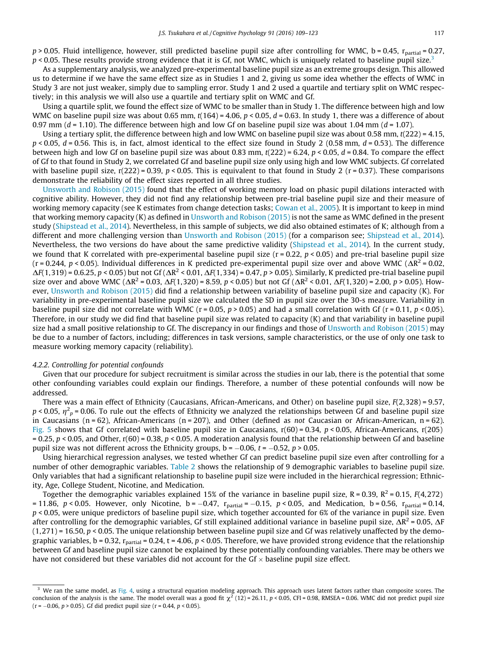$p > 0.05$ . Fluid intelligence, however, still predicted baseline pupil size after controlling for WMC,  $b = 0.45$ ,  $r_{\text{partial}} = 0.27$ , *p* < 0.05. These results provide strong evidence that it is Gf, not WMC, which is uniquely related to baseline pupil size.<sup>3</sup>

As a supplementary analysis, we analyzed pre-experimental baseline pupil size as an extreme groups design. This allowed us to determine if we have the same effect size as in Studies 1 and 2, giving us some idea whether the effects of WMC in Study 3 are not just weaker, simply due to sampling error. Study 1 and 2 used a quartile and tertiary split on WMC respectively; in this analysis we will also use a quartile and tertiary split on WMC and Gf.

Using a quartile split, we found the effect size of WMC to be smaller than in Study 1. The difference between high and low WMC on baseline pupil size was about 0.65 mm,  $t(164) = 4.06$ ,  $p < 0.05$ ,  $d = 0.63$ . In study 1, there was a difference of about 0.97 mm (*d* = 1.10). The difference between high and low Gf on baseline pupil size was about 1.04 mm (*d* = 1.07).

Using a tertiary split, the difference between high and low WMC on baseline pupil size was about 0.58 mm, *t*(222) = 4.15, *p* < 0.05, *d* = 0.56. This is, in fact, almost identical to the effect size found in Study 2 (0.58 mm, *d* = 0.53). The difference between high and low Gf on baseline pupil size was about 0.83 mm, *t*(222) = 6.24, *p* < 0.05, *d* = 0.84. To compare the effect of Gf to that found in Study 2, we correlated Gf and baseline pupil size only using high and low WMC subjects. Gf correlated with baseline pupil size,  $r(222) = 0.39$ ,  $p < 0.05$ . This is equivalent to that found in Study 2 ( $r = 0.37$ ). These comparisons demonstrate the reliability of the effect sizes reported in all three studies.

Unsworth and Robison (2015) found that the effect of working memory load on phasic pupil dilations interacted with cognitive ability. However, they did not find any relationship between pre-trial baseline pupil size and their measure of working memory capacity (see K estimates from change detection tasks; Cowan et al., 2005). It is important to keep in mind that working memory capacity (K) as defined in Unsworth and Robison (2015) is not the same as WMC defined in the present study (Shipstead et al., 2014). Nevertheless, in this sample of subjects, we did also obtained estimates of K; although from a different and more challenging version than Unsworth and Robison (2015) (for a comparison see; Shipstead et al., 2014). Nevertheless, the two versions do have about the same predictive validity (Shipstead et al., 2014). In the current study, we found that K correlated with pre-experimental baseline pupil size ( $r = 0.22$ ,  $p < 0.05$ ) and pre-trial baseline pupil size ( $r = 0.244$ ,  $p < 0.05$ ). Individual differences in K predicted pre-experimental pupil size over and above WMC ( $\Delta R^2 = 0.02$ ,  $\Delta F(1,319)$  = 0.6.25, *p* < 0.05) but not Gf ( $\Delta R^2$  < 0.01,  $\Delta F(1,334)$  = 0.47, *p* > 0.05). Similarly, K predicted pre-trial baseline pupil size over and above WMC ( $\Delta R^2$  = 0.03,  $\Delta F(1,320)$  = 8.59, *p* < 0.05) but not Gf ( $\Delta R^2$  < 0.01,  $\Delta F(1,320)$  = 2.00, *p* > 0.05). However, Unsworth and Robison (2015) did find a relationship between variability of baseline pupil size and capacity (K). For variability in pre-experimental baseline pupil size we calculated the SD in pupil size over the 30-s measure. Variability in baseline pupil size did not correlate with WMC ( $r = 0.05$ ,  $p > 0.05$ ) and had a small correlation with Gf ( $r = 0.11$ ,  $p < 0.05$ ). Therefore, in our study we did find that baseline pupil size was related to capacity (K) and that variability in baseline pupil size had a small positive relationship to Gf. The discrepancy in our findings and those of Unsworth and Robison (2015) may be due to a number of factors, including; differences in task versions, sample characteristics, or the use of only one task to measure working memory capacity (reliability).

#### *4.2.2. Controlling for potential confounds*

Given that our procedure for subject recruitment is similar across the studies in our lab, there is the potential that some other confounding variables could explain our findings. Therefore, a number of these potential confounds will now be addressed.

There was a main effect of Ethnicity (Caucasians, African-Americans, and Other) on baseline pupil size, *F*(2,328) = 9.57,  $p$  < 0.05,  $\eta^2{}_{p}$  = 0.06. To rule out the effects of Ethnicity we analyzed the relationships between Gf and baseline pupil size in Caucasians (n = 62), African-Americans (n = 207), and Other (defined as *not* Caucasian or African-American, n = 62). Fig. 5 shows that Gf correlated with baseline pupil size in Caucasians,  $r(60) = 0.34$ ,  $p < 0.05$ , African-Americans,  $r(205)$ = 0.25, *p* < 0.05, and Other, r(60) = 0.38, *p* < 0.05. A moderation analysis found that the relationship between Gf and baseline pupil size was not different across the Ethnicity groups,  $b = -0.06$ ,  $t = -0.52$ ,  $p > 0.05$ .

Using hierarchical regression analyses, we tested whether Gf can predict baseline pupil size even after controlling for a number of other demographic variables. Table 2 shows the relationship of 9 demographic variables to baseline pupil size. Only variables that had a significant relationship to baseline pupil size were included in the hierarchical regression; Ethnicity, Age, College Student, Nicotine, and Medication.

Together the demographic variables explained 15% of the variance in baseline pupil size,  $R = 0.39$ ,  $R^2 = 0.15$ ,  $F(4,272)$ = 11.86, *p* < 0.05. However, only Nicotine, b = -0.47,  $r_{partial}$  = -0.15, *p* < 0.05, and Medication, b = 0.56,  $r_{partial}$  = 0.14, *p* < 0.05, were unique predictors of baseline pupil size, which together accounted for 6% of the variance in pupil size. Even after controlling for the demographic variables, Gf still explained additional variance in baseline pupil size,  $\Delta R^2$  = 0.05,  $\Delta F$  $(1,271)$  = 16.50,  $p < 0.05$ . The unique relationship between baseline pupil size and Gf was relatively unaffected by the demographic variables,  $b = 0.32$ ,  $r_{partial} = 0.24$ ,  $t = 4.06$ ,  $p < 0.05$ . Therefore, we have provided strong evidence that the relationship between Gf and baseline pupil size cannot be explained by these potentially confounding variables. There may be others we have not considered but these variables did not account for the  $Gf \times$  baseline pupil size effect.

 $3$  We ran the same model, as Fig. 4, using a structural equation modeling approach. This approach uses latent factors rather than composite scores. The conclusion of the analysis is the same. The model overall was a good fit  $\chi^2$  (12) = 26.11, *p* < 0.05, CFI = 0.98, RMSEA = 0.06. WMC did not predict pupil size  $(r = -0.06, p > 0.05)$ . Gf did predict pupil size  $(r = 0.44, p < 0.05)$ .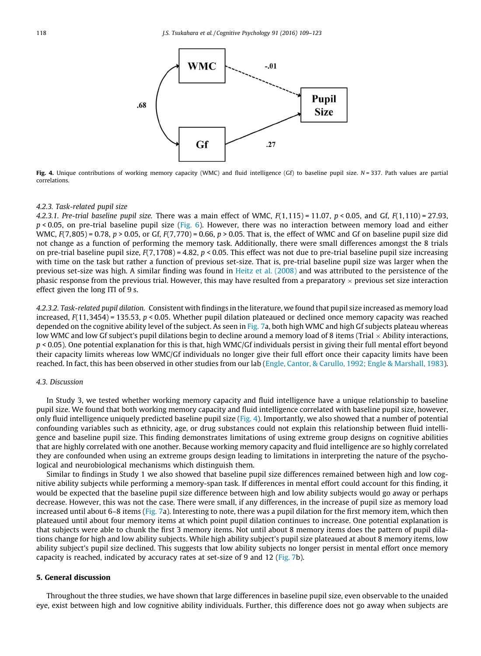

Fig. 4. Unique contributions of working memory capacity (WMC) and fluid intelligence (Gf) to baseline pupil size. *N* = 337. Path values are partial correlations.

#### *4.2.3. Task-related pupil size*

*4.2.3.1. Pre-trial baseline pupil size.* There was a main effect of WMC, *F*(1,115) = 11.07, *p* < 0.05, and Gf, *F*(1,110) = 27.93, *p* < 0.05, on pre-trial baseline pupil size (Fig. 6). However, there was no interaction between memory load and either WMC, *F*(7,805) = 0.78, *p* > 0.05, or Gf, *F*(7,770) = 0.66, *p* > 0.05. That is, the effect of WMC and Gf on baseline pupil size did not change as a function of performing the memory task. Additionally, there were small differences amongst the 8 trials on pre-trial baseline pupil size, *F*(7,1708) = 4.82, *p* < 0.05. This effect was not due to pre-trial baseline pupil size increasing with time on the task but rather a function of previous set-size. That is, pre-trial baseline pupil size was larger when the previous set-size was high. A similar finding was found in Heitz et al. (2008) and was attributed to the persistence of the phasic response from the previous trial. However, this may have resulted from a preparatory  $\times$  previous set size interaction effect given the long ITI of 9 s.

*4.2.3.2. Task-related pupil dilation.* Consistent with findings in the literature, we found that pupil size increased as memory load increased, *F*(11,3454) = 135.53, *p* < 0.05. Whether pupil dilation plateaued or declined once memory capacity was reached depended on the cognitive ability level of the subject. As seen in Fig. 7a, both high WMC and high Gf subjects plateau whereas low WMC and low Gf subject's pupil dilations begin to decline around a memory load of 8 items (Trial  $\times$  Ability interactions, *p* < 0.05). One potential explanation for this is that, high WMC/Gf individuals persist in giving their full mental effort beyond their capacity limits whereas low WMC/Gf individuals no longer give their full effort once their capacity limits have been reached. In fact, this has been observed in other studies from our lab (Engle, Cantor, & Carullo, 1992; Engle & Marshall, 1983).

#### *4.3. Discussion*

In Study 3, we tested whether working memory capacity and fluid intelligence have a unique relationship to baseline pupil size. We found that both working memory capacity and fluid intelligence correlated with baseline pupil size, however, only fluid intelligence uniquely predicted baseline pupil size (Fig. 4). Importantly, we also showed that a number of potential confounding variables such as ethnicity, age, or drug substances could not explain this relationship between fluid intelligence and baseline pupil size. This finding demonstrates limitations of using extreme group designs on cognitive abilities that are highly correlated with one another. Because working memory capacity and fluid intelligence are so highly correlated they are confounded when using an extreme groups design leading to limitations in interpreting the nature of the psychological and neurobiological mechanisms which distinguish them.

Similar to findings in Study 1 we also showed that baseline pupil size differences remained between high and low cognitive ability subjects while performing a memory-span task. If differences in mental effort could account for this finding, it would be expected that the baseline pupil size difference between high and low ability subjects would go away or perhaps decrease. However, this was not the case. There were small, if any differences, in the increase of pupil size as memory load increased until about 6–8 items (Fig. 7a). Interesting to note, there was a pupil dilation for the first memory item, which then plateaued until about four memory items at which point pupil dilation continues to increase. One potential explanation is that subjects were able to chunk the first 3 memory items. Not until about 8 memory items does the pattern of pupil dilations change for high and low ability subjects. While high ability subject's pupil size plateaued at about 8 memory items, low ability subject's pupil size declined. This suggests that low ability subjects no longer persist in mental effort once memory capacity is reached, indicated by accuracy rates at set-size of 9 and 12 (Fig. 7b).

#### 5. General discussion

Throughout the three studies, we have shown that large differences in baseline pupil size, even observable to the unaided eye, exist between high and low cognitive ability individuals. Further, this difference does not go away when subjects are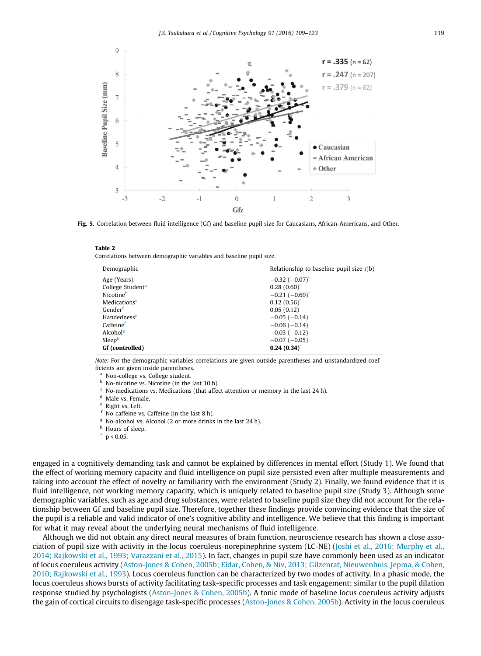

Fig. 5. Correlation between fluid intelligence (Gf) and baseline pupil size for Caucasians, African-Americans, and Other.

| Table 2                                                             |  |
|---------------------------------------------------------------------|--|
| Correlations between demographic variables and baseline pupil size. |  |

| Demographic                  | Relationship to baseline pupil size $r(b)$ |
|------------------------------|--------------------------------------------|
| Age (Years)                  | $-0.32$ ( $-0.07$ ) <sup>*</sup>           |
| College Student <sup>a</sup> | 0.28(0.60)                                 |
| Nicotine <sup>b</sup>        | $-0.21(-0.69)$                             |
| Medications <sup>c</sup>     | 0.12(0.56)                                 |
| Gender <sup>d</sup>          | 0.05(0.12)                                 |
| Handednesse                  | $-0.05$ ( $-0.14$ )                        |
| Caffeinef                    | $-0.06$ ( $-0.14$ )                        |
| Alcohol <sup>g</sup>         | $-0.03(-0.12)$                             |
| Sleeph                       | $-0.07$ ( $-0.05$ )                        |
| Gf (controlled)              | 0.24(0.34)                                 |

*Note:* For the demographic variables correlations are given outside parentheses and unstandardized coefficients are given inside parentheses.

<sup>a</sup> Non-college vs. College student.

**b** No-nicotine vs. Nicotine (in the last 10 h).

 $c$  No-medications vs. Medications (that affect attention or memory in the last 24 h).

<sup>d</sup> Male vs. Female.

e Right vs. Left.

<sup>f</sup> No-caffeine vs. Caffeine (in the last 8 h).

 $g$  No-alcohol vs. Alcohol (2 or more drinks in the last 24 h).

 $h$  Hours of sleep.

 $p < 0.05$ .

engaged in a cognitively demanding task and cannot be explained by differences in mental effort (Study 1). We found that the effect of working memory capacity and fluid intelligence on pupil size persisted even after multiple measurements and taking into account the effect of novelty or familiarity with the environment (Study 2). Finally, we found evidence that it is fluid intelligence, not working memory capacity, which is uniquely related to baseline pupil size (Study 3). Although some demographic variables, such as age and drug substances, were related to baseline pupil size they did not account for the relationship between Gf and baseline pupil size. Therefore, together these findings provide convincing evidence that the size of the pupil is a reliable and valid indicator of one's cognitive ability and intelligence. We believe that this finding is important for what it may reveal about the underlying neural mechanisms of fluid intelligence.

Although we did not obtain any direct neural measures of brain function, neuroscience research has shown a close association of pupil size with activity in the locus coeruleus-norepinephrine system (LC-NE) (Joshi et al., 2016; Murphy et al., 2014; Rajkowski et al., 1993; Varazzani et al., 2015). In fact, changes in pupil size have commonly been used as an indicator of locus coeruleus activity (Aston-Jones & Cohen, 2005b; Eldar, Cohen, & Niv, 2013; Gilzenrat, Nieuwenhuis, Jepma, & Cohen, 2010; Rajkowski et al., 1993). Locus coeruleus function can be characterized by two modes of activity. In a phasic mode, the locus coeruleus shows bursts of activity facilitating task-specific processes and task engagement; similar to the pupil dilation response studied by psychologists (Aston-Jones & Cohen, 2005b). A tonic mode of baseline locus coeruleus activity adjusts the gain of cortical circuits to disengage task-specific processes (Aston-Jones & Cohen, 2005b). Activity in the locus coeruleus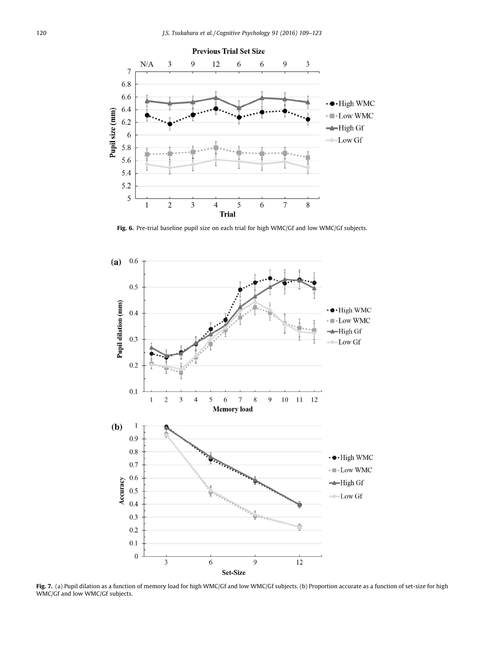

Fig. 6. Pre-trial baseline pupil size on each trial for high WMC/Gf and low WMC/Gf subjects.



Fig. 7. (a) Pupil dilation as a function of memory load for high WMC/Gf and low WMC/Gf subjects. (b) Proportion accurate as a function of set-size for high WMC/Gf and low WMC/Gf subjects.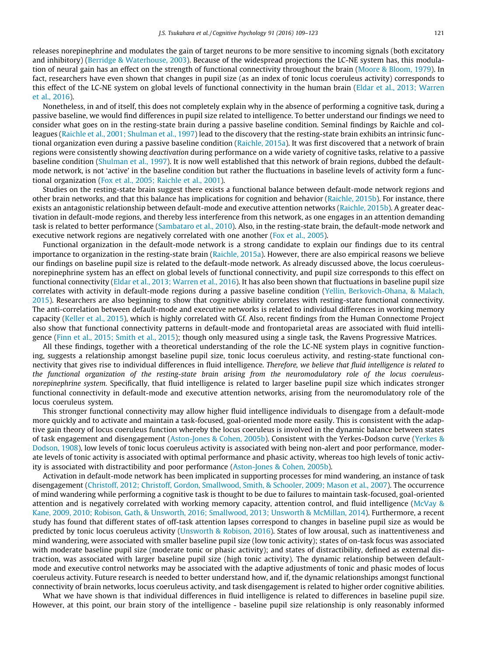releases norepinephrine and modulates the gain of target neurons to be more sensitive to incoming signals (both excitatory and inhibitory) (Berridge & Waterhouse, 2003). Because of the widespread projections the LC-NE system has, this modulation of neural gain has an effect on the strength of functional connectivity throughout the brain (Moore & Bloom, 1979). In fact, researchers have even shown that changes in pupil size (as an index of tonic locus coeruleus activity) corresponds to this effect of the LC-NE system on global levels of functional connectivity in the human brain (Eldar et al., 2013; Warren et al., 2016).

Nonetheless, in and of itself, this does not completely explain why in the absence of performing a cognitive task, during a passive baseline, we would find differences in pupil size related to intelligence. To better understand our findings we need to consider what goes on in the resting-state brain during a passive baseline condition. Seminal findings by Raichle and colleagues (Raichle et al., 2001; Shulman et al., 1997) lead to the discovery that the resting-state brain exhibits an intrinsic functional organization even during a passive baseline condition (Raichle, 2015a). It was first discovered that a network of brain regions were consistently showing *deactivation* during performance on a wide variety of cognitive tasks, relative to a passive baseline condition (Shulman et al., 1997). It is now well established that this network of brain regions, dubbed the defaultmode network, is not 'active' in the baseline condition but rather the fluctuations in baseline levels of activity form a functional organization (Fox et al., 2005; Raichle et al., 2001).

Studies on the resting-state brain suggest there exists a functional balance between default-mode network regions and other brain networks, and that this balance has implications for cognition and behavior (Raichle, 2015b). For instance, there exists an antagonistic relationship between default-mode and executive attention networks (Raichle, 2015b). A greater deactivation in default-mode regions, and thereby less interference from this network, as one engages in an attention demanding task is related to better performance (Sambataro et al., 2010). Also, in the resting-state brain, the default-mode network and executive network regions are negatively correlated with one another (Fox et al., 2005).

Functional organization in the default-mode network is a strong candidate to explain our findings due to its central importance to organization in the resting-state brain (Raichle, 2015a). However, there are also empirical reasons we believe our findings on baseline pupil size is related to the default-mode network. As already discussed above, the locus coeruleusnorepinephrine system has an effect on global levels of functional connectivity, and pupil size corresponds to this effect on functional connectivity (Eldar et al., 2013; Warren et al., 2016). It has also been shown that fluctuations in baseline pupil size correlates with activity in default-mode regions during a passive baseline condition (Yellin, Berkovich-Ohana, & Malach, 2015). Researchers are also beginning to show that cognitive ability correlates with resting-state functional connectivity. The anti-correlation between default-mode and executive networks is related to individual differences in working memory capacity (Keller et al., 2015), which is highly correlated with Gf. Also, recent findings from the Human Connectome Project also show that functional connectivity patterns in default-mode and frontoparietal areas are associated with fluid intelligence (Finn et al., 2015; Smith et al., 2015); though only measured using a single task, the Ravens Progressive Matrices.

All these findings, together with a theoretical understanding of the role the LC-NE system plays in cognitive functioning, suggests a relationship amongst baseline pupil size, tonic locus coeruleus activity, and resting-state functional connectivity that gives rise to individual differences in fluid intelligence. *Therefore, we believe that fluid intelligence is related to the functional organization of the resting-state brain arising from the neuromodulatory role of the locus coeruleusnorepinephrine system.* Specifically, that fluid intelligence is related to larger baseline pupil size which indicates stronger functional connectivity in default-mode and executive attention networks, arising from the neuromodulatory role of the locus coeruleus system.

This stronger functional connectivity may allow higher fluid intelligence individuals to disengage from a default-mode more quickly and to activate and maintain a task-focused, goal-oriented mode more easily. This is consistent with the adaptive gain theory of locus coeruleus function whereby the locus coeruleus is involved in the dynamic balance between states of task engagement and disengagement (Aston-Jones & Cohen, 2005b). Consistent with the Yerkes-Dodson curve (Yerkes & Dodson, 1908), low levels of tonic locus coeruleus activity is associated with being non-alert and poor performance, moderate levels of tonic activity is associated with optimal performance and phasic activity, whereas too high levels of tonic activity is associated with distractibility and poor performance (Aston-Jones & Cohen, 2005b).

Activation in default-mode network has been implicated in supporting processes for mind wandering, an instance of task disengagement (Christoff, 2012; Christoff, Gordon, Smallwood, Smith, & Schooler, 2009; Mason et al., 2007). The occurrence of mind wandering while performing a cognitive task is thought to be due to failures to maintain task-focused, goal-oriented attention and is negatively correlated with working memory capacity, attention control, and fluid intelligence (McVay & Kane, 2009, 2010; Robison, Gath, & Unsworth, 2016; Smallwood, 2013; Unsworth & McMillan, 2014). Furthermore, a recent study has found that different states of off-task attention lapses correspond to changes in baseline pupil size as would be predicted by tonic locus coeruleus activity (Unsworth & Robison, 2016). States of low arousal, such as inattentiveness and mind wandering, were associated with smaller baseline pupil size (low tonic activity); states of on-task focus was associated with moderate baseline pupil size (moderate tonic or phasic activity); and states of distractibility, defined as external distraction, was associated with larger baseline pupil size (high tonic activity). The dynamic relationship between defaultmode and executive control networks may be associated with the adaptive adjustments of tonic and phasic modes of locus coeruleus activity. Future research is needed to better understand how, and if, the dynamic relationships amongst functional connectivity of brain networks, locus coeruleus activity, and task disengagement is related to higher order cognitive abilities.

What we have shown is that individual differences in fluid intelligence is related to differences in baseline pupil size. However, at this point, our brain story of the intelligence - baseline pupil size relationship is only reasonably informed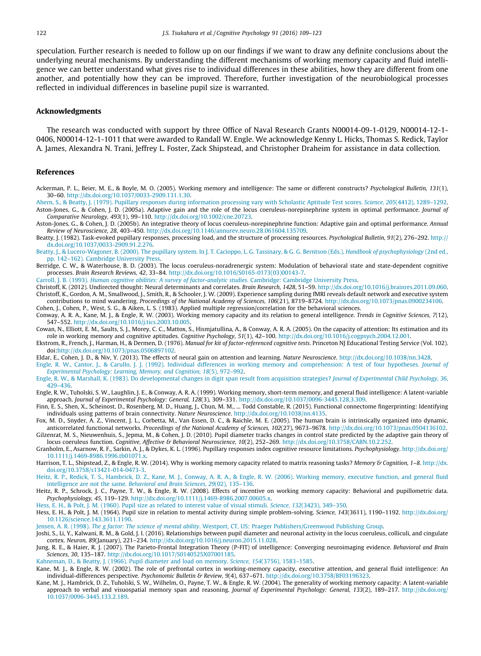speculation. Further research is needed to follow up on our findings if we want to draw any definite conclusions about the underlying neural mechanisms. By understanding the different mechanisms of working memory capacity and fluid intelligence we can better understand what gives rise to individual differences in these abilities, how they are different from one another, and potentially how they can be improved. Therefore, further investigation of the neurobiological processes reflected in individual differences in baseline pupil size is warranted.

#### Acknowledgments

The research was conducted with support by three Office of Naval Research Grants N00014-09-1-0129, N00014-12-1- 0406, N00014-12-1-1011 that were awarded to Randall W. Engle. We acknowledge Kenny L. Hicks, Thomas S. Redick, Taylor A. James, Alexandra N. Trani, Jeffrey L. Foster, Zack Shipstead, and Christopher Draheim for assistance in data collection.

#### References

- Ackerman, P. L., Beier, M. E., & Boyle, M. O. (2005). Working memory and intelligence: The same or different constructs? *Psychological Bulletin, 131*(1), 30–60. http://dx.doi.org/10.1037/0033-2909.131.1.30.
- Ahern, S., & Beatty, J. (1979). Pupillary responses during information processing vary with Scholastic Aptitude Test scores. *Science, 205*(4412), 1289–1292. Aston-Jones, G., & Cohen, J. D. (2005a). Adaptive gain and the role of the locus coeruleus-norepinephrine system in optimal performance. *Journal of Comparative Neurology, 493*(1), 99–110. http://dx.doi.org/10.1002/cne.20723.
- Aston-Jones, G., & Cohen, J. D. (2005b). An integrative theory of locus coeruleus-norepinephrine function: Adaptive gain and optimal performance. *Annual Review of Neuroscience, 28*, 403–450. http://dx.doi.org/10.1146/annurev.neuro.28.061604.135709.
- Beatty, J. (1982). Task-evoked pupillary responses, processing load, and the structure of processing resources. *Psychological Bulletin, 91*(2), 276–292. http:// dx.doi.org/10.1037/0033-2909.91.2.276.
- Beatty, J., & Lucero-Wagoner, B. (2000). The pupillary system. In J. T. Cacioppo, L. G. Tassinary, & G. G. Berntson (Eds.), *Handbook of psychophysiology* (2nd ed., pp. 142–162). Cambridge University Press.
- Berridge, C. W., & Waterhouse, B. D. (2003). The locus coeruleus-noradrenergic system: Modulation of behavioral state and state-dependent cognitive processes. *Brain Research Reviews, 42*, 33–84. http://dx.doi.org/10.1016/S0165-0173(03)00143-7.
- Carroll, J. B. (1993). *Human cognitive abilities: A survey of factor-analytic studies*. Cambridge: Cambridge University Press.
- Christoff, K. (2012). Undirected thought: Neural determinants and correlates. *Brain Research, 1428*, 51–59. http://dx.doi.org/10.1016/j.brainres.2011.09.060. Christoff, K., Gordon, A. M., Smallwood, J., Smith, R., & Schooler, J. W. (2009). Experience sampling during fMRI reveals default network and executive system contributions to mind wandering. *Proceedings of the National Academy of Sciences, 106*(21), 8719–8724. http://dx.doi.org/10.1073/pnas.0900234106.
- Cohen, J., Cohen, P., West, S. G., & Aiken, L. S. (1983). Applied multiple regression/correlation for the behavioral sciences. Conway, A. R. A., Kane, M. J., & Engle, R. W. (2003). Working memory capacity and its relation to general intelligence. *Trends in Cognitive Sciences, 7*(12), 547–552. http://dx.doi.org/10.1016/j.tics.2003.10.005.
- Cowan, N., Elliott, E. M., Saults, S. J., Morey, C. C., Mattox, S., Hismjatullina, A., & Conway, A. R. A. (2005). On the capacity of attention: Its estimation and its role in working memory and cognitive aptitudes. *Cognitive Psychology, 51*(1), 42–100. http://dx.doi.org/10.1016/j.cogpsych.2004.12.001.
- Ekstrom, R., French, J., Harman, H., & Dermen, D. (1976). *Manual for kit of factor-referenced cognitive tests*. Princeton NJ Educational Testing Service (Vol. 102). doi:http://dx.doi.org/10.1073/pnas.0506897102.
- Eldar, E., Cohen, J. D., & Niv, Y. (2013). The effects of neural gain on attention and learning. *Nature Neuroscience*. http://dx.doi.org/10.1038/nn.3428.
- Engle, R. W., Cantor, J., & Carullo, J. J. (1992). Individual differences in working memory and comprehension: A test of four hypotheses. *Journal of Experimental Psychology: Learning, Memory, and Cognition, 18*(5), 972–992.
- Engle, R. W., & Marshall, K. (1983). Do developmental changes in digit span result from acquisition strategies? *Journal of Experimental Child Psychology, 36*, 429–436.
- Engle, R. W., Tuholski, S. W., Laughlin, J. E., & Conway, A. R. A. (1999). Working memory, short-term memory, and general fluid intelligence: A latent-variable approach. *Journal of Experimental Psychology: General, 128*(3), 309–331. http://dx.doi.org/10.1037/0096-3445.128.3.309.
- Finn, E. S., Shen, X., Scheinost, D., Rosenberg, M. D., Huang, J., Chun, M. M., ... Todd Constable, R. (2015). Functional connectome fingerprinting: Identifying individuals using patterns of brain connectivity. *Nature Neuroscience*. http://dx.doi.org/10.1038/nn.4135.
- Fox, M. D., Snyder, A. Z., Vincent, J. L., Corbetta, M., Van Essen, D. C., & Raichle, M. E. (2005). The human brain is intrinsically organized into dynamic, anticorrelated functional networks. *Proceedings of the National Academy of Sciences, 102*(27), 9673–9678. http://dx.doi.org/10.1073/pnas.0504136102. Gilzenrat, M. S., Nieuwenhuis, S., Jepma, M., & Cohen, J. D. (2010). Pupil diameter tracks changes in control state predicted by the adaptive gain theory of
- locus coeruleus function. *Cognitive, Affective & Behavioral Neuroscience, 10*(2), 252–269. http://dx.doi.org/10.3758/CABN.10.2.252. Granholm, E., Asarnow, R. F., Sarkin, A. J., & Dykes, K. L. (1996). Pupillary responses index cognitive resource limitations. *Psychophysiology*. http://dx.doi.org/ 10.1111/j.1469-8986.1996.tb01071.x.
- Harrison, T. L., Shipstead, Z., & Engle, R. W. (2014). Why is working memory capacity related to matrix reasoning tasks? *Memory & Cognition, 1–8*. http://dx. doi.org/10.3758/s13421-014-0473-3.
- Heitz, R. P., Redick, T. S., Hambrick, D. Z., Kane, M. J., Conway, A. R. A., & Engle, R. W. (2006). Working memory, executive function, and general fluid intelligence are not the same. *Behavioral and Brain Sciences, 29*(02), 135–136.
- Heitz, R. P., Schrock, J. C., Payne, T. W., & Engle, R. W. (2008). Effects of incentive on working memory capacity: Behavioral and pupillometric data. *Psychophysiology, 45*, 119–129. http://dx.doi.org/10.1111/j.1469-8986.2007.00605.x.
- Hess, E. H., & Polt, J. M. (1960). Pupil size as related to interest value of visual stimuli. *Science, 132*(3423), 349–350.
- Hess, E. H., & Polt, J. M. (1964). Pupil size in relation to mental activity during simple problem-solving. *Science, 143*(3611), 1190–1192. http://dx.doi.org/ 10.1126/science.143.3611.1190.
- Jensen, A. R. (1998). *The g factor: The science of mental ability*. Westport, CT, US: Praeger Publishers/Greenwood Publishing Group.
- Joshi, S., Li, Y., Kalwani, R. M., & Gold, J. I. (2016). Relationships between pupil diameter and neuronal activity in the locus coeruleus, colliculi, and cingulate cortex. *Neuron, 89*(January), 221–234. http://dx.doi.org/10.1016/j.neuron.2015.11.028.
- Jung, R. E., & Haier, R. J. (2007). The Parieto-Frontal Integration Theory (P-FIT) of intelligence: Converging neuroimaging evidence. *Behavioral and Brain Sciences, 30*, 135–187. http://dx.doi.org/10.1017/S0140525X07001185.

Kahneman, D., & Beatty, J. (1966). Pupil diameter and load on memory. *Science, 154*(3756), 1583–1585.

- Kane, M. J., & Engle, R. W. (2002). The role of prefrontal cortex in working-memory capacity, executive attention, and general fluid intelligence: An individual-differences perspective. *Psychonomic Bulletin & Review, 9*(4), 637–671. http://dx.doi.org/10.3758/BF03196323.
- Kane, M. J., Hambrick, D. Z., Tuholski, S. W., Wilhelm, O., Payne, T. W., & Engle, R. W. (2004). The generality of working memory capacity: A latent-variable approach to verbal and visuospatial memory span and reasoning. *Journal of Experimental Psychology: General, 133*(2), 189–217. http://dx.doi.org/ 10.1037/0096-3445.133.2.189.